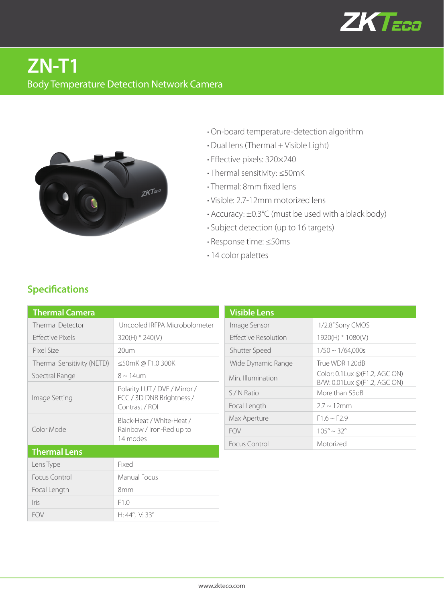

# **ZN-T1** Body Temperature Detection Network Camera



- **·** On-board temperature-detection algorithm
- **·** Dual lens (Thermal + Visible Light)
- **·** Effective pixels: 320×240
- **·** Thermal sensitivity: ≤50mK
- **·** Thermal: 8mm fixed lens
- **·** Visible: 2.7-12mm motorized lens
- **·** Accuracy: ±0.3°C (must be used with a black body)
- **·** Subject detection (up to 16 targets)
- **·** Response time: ≤50ms
- **·** 14 color palettes

| <b>Thermal Camera</b>      |                                                                              |  |
|----------------------------|------------------------------------------------------------------------------|--|
| Thermal Detector           | Uncooled IRFPA Microbolometer                                                |  |
| <b>Effective Pixels</b>    | 320(H) * 240(V)                                                              |  |
| Pixel Size                 | $20\nu m$                                                                    |  |
| Thermal Sensitivity (NETD) | ≤50mK@F1.0300K                                                               |  |
| Spectral Range             | $8 \sim 14$ um                                                               |  |
| Image Setting              | Polarity LUT / DVE / Mirror /<br>FCC / 3D DNR Brightness /<br>Contrast / ROI |  |
| Color Mode                 | Black-Heat / White-Heat /<br>Rainbow / Iron-Red up to<br>14 modes            |  |
| <b>Thermal Lens</b>        |                                                                              |  |
| Lens Type                  | Fixed                                                                        |  |
| Focus Control              | Manual Focus                                                                 |  |
| Focal Length               | 8mm                                                                          |  |
| <i>lris</i>                | F1.0                                                                         |  |
| <b>FOV</b>                 | H: $44^{\circ}$ , V: 33 $^{\circ}$                                           |  |

| <b>Visible Lens</b>         |                                                                          |
|-----------------------------|--------------------------------------------------------------------------|
| Image Sensor                | 1/2.8" Sony CMOS                                                         |
| <b>Effective Resolution</b> | $1920(H) * 1080(V)$                                                      |
| Shutter Speed               | $1/50 \sim 1/64,000s$                                                    |
| Wide Dynamic Range          | True WDR 120dB                                                           |
| Min. Illumination           | Color: 0.1 Lux $\omega$ (F1.2, AGC ON)<br>B/W: 0.01 Lux @ (F1.2, AGC ON) |
| S/N Ratio                   | More than 55dB                                                           |
| Focal Length                | $27 \sim 12 \text{mm}$                                                   |
| Max Aperture                | $F1.6 \sim F2.9$                                                         |
| <b>FOV</b>                  | $105^{\circ} \sim 32^{\circ}$                                            |
| Focus Control               | Motorized                                                                |

### **Specifications**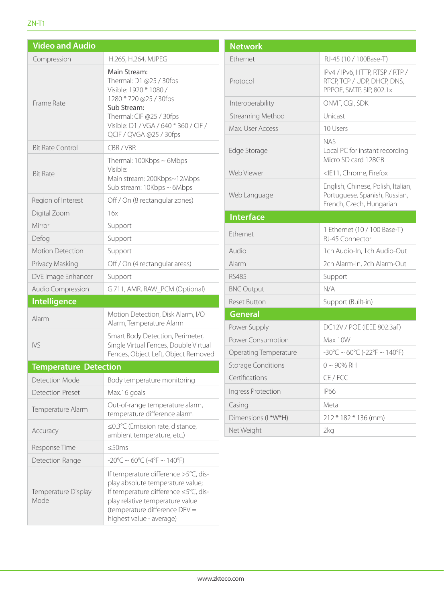#### ZN-T1

| <b>Video and Audio</b>       |                                                                                                                                                                                                                  |  |
|------------------------------|------------------------------------------------------------------------------------------------------------------------------------------------------------------------------------------------------------------|--|
| Compression                  | H.265, H.264, MJPEG                                                                                                                                                                                              |  |
| Frame Rate                   | Main Stream:<br>Thermal: D1 @25 / 30fps<br>Visible: 1920 * 1080 /<br>1280 * 720 @25 / 30fps<br>Sub Stream:<br>Thermal: CIF @25 / 30fps<br>Visible: D1 / VGA / 640 * 360 / CIF /<br>QCIF / QVGA @25 / 30fps       |  |
| <b>Bit Rate Control</b>      | CBR/VBR                                                                                                                                                                                                          |  |
| <b>Bit Rate</b>              | Thermal: $100Kbps \sim 6Mbps$<br>Visible:<br>Main stream: 200Kbps~12Mbps<br>Sub stream: 10Kbps ~ 6Mbps                                                                                                           |  |
| Region of Interest           | Off / On (8 rectangular zones)                                                                                                                                                                                   |  |
| Digital Zoom                 | 16x                                                                                                                                                                                                              |  |
| Mirror                       | Support                                                                                                                                                                                                          |  |
| Defog                        | Support                                                                                                                                                                                                          |  |
| <b>Motion Detection</b>      | Support                                                                                                                                                                                                          |  |
| Privacy Masking              | Off / On (4 rectangular areas)                                                                                                                                                                                   |  |
| DVE Image Enhancer           | Support                                                                                                                                                                                                          |  |
| Audio Compression            | G.711, AMR, RAW_PCM (Optional)                                                                                                                                                                                   |  |
| <b>Intelligence</b>          |                                                                                                                                                                                                                  |  |
| Alarm                        | Motion Detection, Disk Alarm, I/O<br>Alarm, Temperature Alarm                                                                                                                                                    |  |
| <b>IVS</b>                   | Smart Body Detection, Perimeter,<br>Single Virtual Fences, Double Virtual<br>Fences, Object Left, Object Removed                                                                                                 |  |
| <b>Temperature Detection</b> |                                                                                                                                                                                                                  |  |
| <b>Detection Mode</b>        | Body temperature monitoring                                                                                                                                                                                      |  |
| <b>Detection Preset</b>      | Max.16 goals                                                                                                                                                                                                     |  |
| Temperature Alarm            | Out-of-range temperature alarm,<br>temperature difference alarm                                                                                                                                                  |  |
| Accuracy                     | ≤0.3°C (Emission rate, distance,<br>ambient temperature, etc.)                                                                                                                                                   |  |
| Response Time                | $\leq$ 50ms                                                                                                                                                                                                      |  |
| Detection Range              | $-20^{\circ}$ C ~ 60°C (-4°F ~ 140°F)                                                                                                                                                                            |  |
| Temperature Display<br>Mode  | If temperature difference >5°C, dis-<br>play absolute temperature value;<br>If temperature difference ≤5°C, dis-<br>play relative temperature value<br>(temperature difference DEV =<br>highest value - average) |  |

| <b>Network</b>            |                                                                                                 |  |
|---------------------------|-------------------------------------------------------------------------------------------------|--|
| Ethernet                  | RJ-45 (10 / 100Base-T)                                                                          |  |
| Protocol                  | IPv4 / IPv6, HTTP, RTSP / RTP /<br>RTCP, TCP / UDP, DHCP, DNS,<br>PPPOE, SMTP, SIP, 802.1x      |  |
| Interoperability          | ONVIF, CGI, SDK                                                                                 |  |
| Streaming Method          | Unicast                                                                                         |  |
| Max. User Access          | 10 Users                                                                                        |  |
| Edge Storage              | nas<br>Local PC for instant recording<br>Micro SD card 128GB                                    |  |
| Web Viewer                | <ie11, chrome,="" firefox<="" td=""></ie11,>                                                    |  |
| Web Language              | English, Chinese, Polish, Italian,<br>Portuguese, Spanish, Russian,<br>French, Czech, Hungarian |  |
| <b>Interface</b>          |                                                                                                 |  |
| Ethernet                  | 1 Ethernet (10 / 100 Base-T)<br>RI-45 Connector                                                 |  |
| Audio                     | 1ch Audio-In, 1ch Audio-Out                                                                     |  |
| Alarm                     | 2ch Alarm-In, 2ch Alarm-Out                                                                     |  |
| RS485                     | Support                                                                                         |  |
| <b>BNC Output</b>         | N/A                                                                                             |  |
| <b>Reset Button</b>       | Support (Built-in)                                                                              |  |
| <b>General</b>            |                                                                                                 |  |
| Power Supply              | DC12V / POE (IEEE 802.3af)                                                                      |  |
| Power Consumption         | Max 10W                                                                                         |  |
| Operating Temperature     | $-30^{\circ}$ C ~ 60°C (-22°F ~ 140°F)                                                          |  |
| <b>Storage Conditions</b> | $0 \sim 90\%$ RH                                                                                |  |
| Certifications            | CE / FCC                                                                                        |  |
| Ingress Protection        | <b>IP66</b>                                                                                     |  |
| Casing                    | Metal                                                                                           |  |
| Dimensions (L*W*H)        | 212 * 182 * 136 (mm)                                                                            |  |
| Net Weight                | 2kg                                                                                             |  |